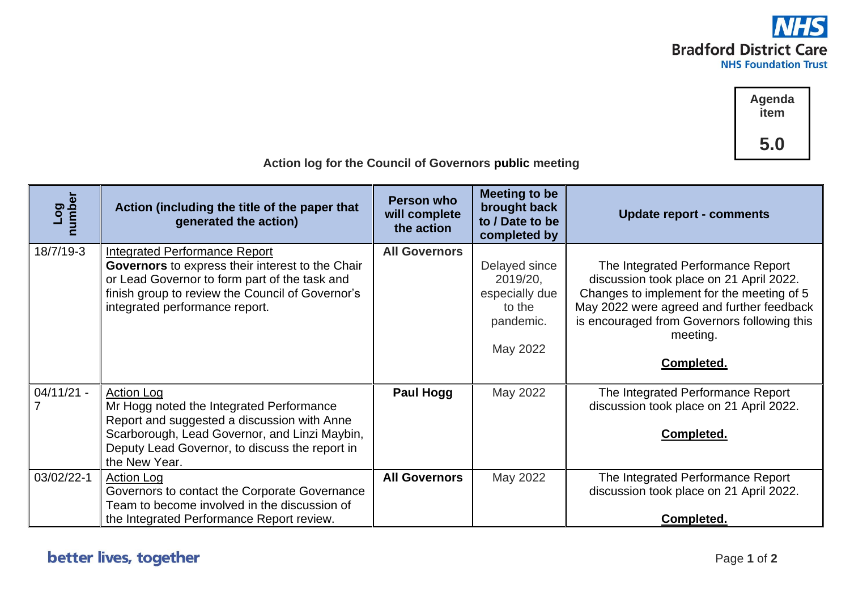

**Agenda item 5.0**

| J.U<br>Action log for the Council of Governors public meeting |                                                                                                                                                                                                                                  |                                           |                                                                                |                                                                                                                                                                                                                                                 |  |  |
|---------------------------------------------------------------|----------------------------------------------------------------------------------------------------------------------------------------------------------------------------------------------------------------------------------|-------------------------------------------|--------------------------------------------------------------------------------|-------------------------------------------------------------------------------------------------------------------------------------------------------------------------------------------------------------------------------------------------|--|--|
| Log<br>number                                                 | Action (including the title of the paper that<br>generated the action)                                                                                                                                                           | Person who<br>will complete<br>the action | <b>Meeting to be</b><br>brought back<br>to / Date to be<br>completed by        | <b>Update report - comments</b>                                                                                                                                                                                                                 |  |  |
| 18/7/19-3                                                     | <b>Integrated Performance Report</b><br>Governors to express their interest to the Chair<br>or Lead Governor to form part of the task and<br>finish group to review the Council of Governor's<br>integrated performance report.  | <b>All Governors</b>                      | Delayed since<br>2019/20,<br>especially due<br>to the<br>pandemic.<br>May 2022 | The Integrated Performance Report<br>discussion took place on 21 April 2022.<br>Changes to implement for the meeting of 5<br>May 2022 were agreed and further feedback<br>is encouraged from Governors following this<br>meeting.<br>Completed. |  |  |
| $04/11/21 -$                                                  | <b>Action Log</b><br>Mr Hogg noted the Integrated Performance<br>Report and suggested a discussion with Anne<br>Scarborough, Lead Governor, and Linzi Maybin,<br>Deputy Lead Governor, to discuss the report in<br>the New Year. | <b>Paul Hogg</b>                          | May 2022                                                                       | The Integrated Performance Report<br>discussion took place on 21 April 2022.<br>Completed.                                                                                                                                                      |  |  |
| 03/02/22-1                                                    | <b>Action Log</b><br>Governors to contact the Corporate Governance<br>Team to become involved in the discussion of<br>the Integrated Performance Report review.                                                                  | <b>All Governors</b>                      | May 2022                                                                       | The Integrated Performance Report<br>discussion took place on 21 April 2022.<br>Completed.                                                                                                                                                      |  |  |

## better lives, together